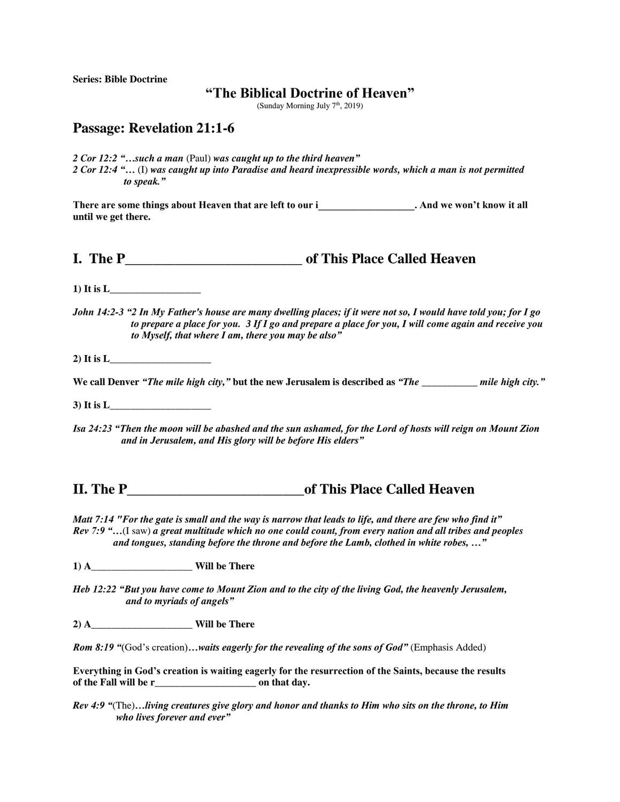**Series: Bible Doctrine**

## **"The Biblical Doctrine of Heaven"**

(Sunday Morning July  $7<sup>th</sup>$ , 2019)

## **Passage: Revelation 21:1-6**

*2 Cor 12:2 "…such a man* (Paul) *was caught up to the third heaven" 2 Cor 12:4 "…* (I) *was caught up into Paradise and heard inexpressible words, which a man is not permitted to speak."*

There are some things about Heaven that are left to our i **and include 1**. And we won't know it all **until we get there.** 

**I. The P\_\_\_\_\_\_\_\_\_\_\_\_\_\_\_\_\_\_\_\_\_\_\_\_\_ of This Place Called Heaven**

**1) It is L\_\_\_\_\_\_\_\_\_\_\_\_\_\_\_\_\_\_**

*John 14:2-3 "2 In My Father's house are many dwelling places; if it were not so, I would have told you; for I go to prepare a place for you. 3 If I go and prepare a place for you, I will come again and receive you to Myself, that where I am, there you may be also"*

2) It is  $L_{\text{L}}$ 

**We call Denver** *"The mile high city,"* **but the new Jerusalem is described as** *"The \_\_\_\_\_\_\_\_\_\_\_ mile high city."* 

**3) It is L\_\_\_\_\_\_\_\_\_\_\_\_\_\_\_\_\_\_\_\_**

*Isa 24:23 "Then the moon will be abashed and the sun ashamed, for the Lord of hosts will reign on Mount Zion and in Jerusalem, and His glory will be before His elders"*

## **II. The P** and **of This Place Called Heaven II.**

*Matt 7:14 "For the gate is small and the way is narrow that leads to life, and there are few who find it" Rev 7:9 "…*(I saw) *a great multitude which no one could count, from every nation and all tribes and peoples and tongues, standing before the throne and before the Lamb, clothed in white robes, …"*

**1) A** Will be There

*Heb 12:22 "But you have come to Mount Zion and to the city of the living God, the heavenly Jerusalem, and to myriads of angels"*

**2) A\_\_\_\_\_\_\_\_\_\_\_\_\_\_\_\_\_\_\_\_ Will be There**

*Rom 8:19* "(God's creation)...waits eagerly for the revealing of the sons of God" (Emphasis Added)

**Everything in God's creation is waiting eagerly for the resurrection of the Saints, because the results of the Fall will be r\_\_\_\_\_\_\_\_\_\_\_\_\_\_\_\_\_\_\_\_ on that day.** 

*Rev 4:9 "*(The)*…living creatures give glory and honor and thanks to Him who sits on the throne, to Him who lives forever and ever"*